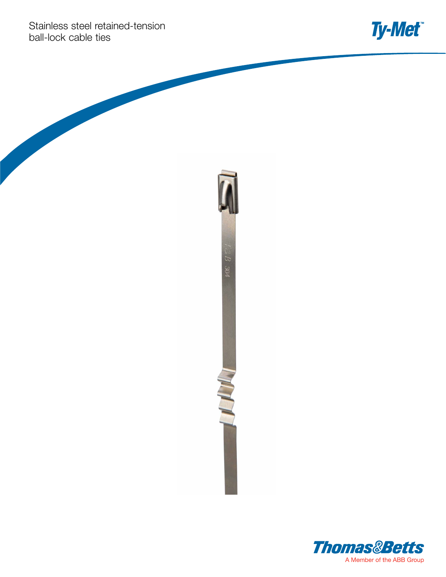